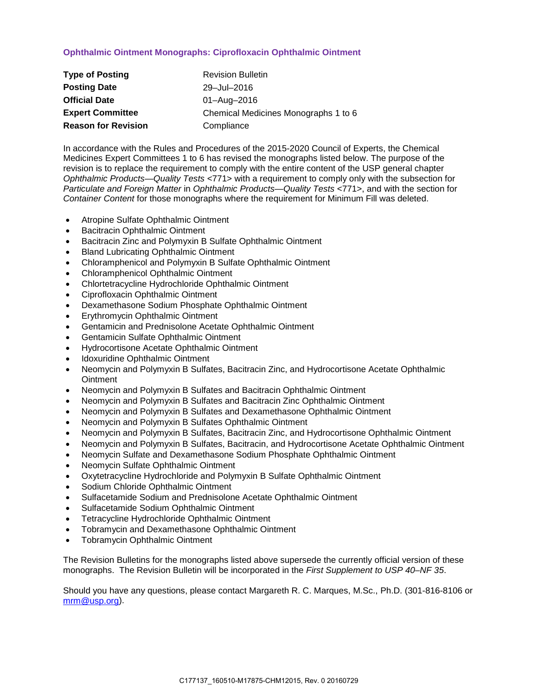## **Ophthalmic Ointment Monographs: Ciprofloxacin Ophthalmic Ointment**

| <b>Type of Posting</b>     | <b>Revision Bulletin</b>             |
|----------------------------|--------------------------------------|
| <b>Posting Date</b>        | 29-Jul-2016                          |
| <b>Official Date</b>       | 01-Aug-2016                          |
| <b>Expert Committee</b>    | Chemical Medicines Monographs 1 to 6 |
| <b>Reason for Revision</b> | Compliance                           |

In accordance with the Rules and Procedures of the 2015-2020 Council of Experts, the Chemical Medicines Expert Committees 1 to 6 has revised the monographs listed below. The purpose of the revision is to replace the requirement to comply with the entire content of the USP general chapter *Ophthalmic Products—Quality Tests* <771> with a requirement to comply only with the subsection for *Particulate and Foreign Matter* in *Ophthalmic Products—Quality Tests* <771>, and with the section for *Container Content* for those monographs where the requirement for Minimum Fill was deleted.

- Atropine Sulfate Ophthalmic Ointment
- Bacitracin Ophthalmic Ointment
- Bacitracin Zinc and Polymyxin B Sulfate Ophthalmic Ointment
- Bland Lubricating Ophthalmic Ointment
- Chloramphenicol and Polymyxin B Sulfate Ophthalmic Ointment
- Chloramphenicol Ophthalmic Ointment
- Chlortetracycline Hydrochloride Ophthalmic Ointment
- Ciprofloxacin Ophthalmic Ointment
- Dexamethasone Sodium Phosphate Ophthalmic Ointment
- Erythromycin Ophthalmic Ointment
- Gentamicin and Prednisolone Acetate Ophthalmic Ointment
- Gentamicin Sulfate Ophthalmic Ointment
- Hydrocortisone Acetate Ophthalmic Ointment
- Idoxuridine Ophthalmic Ointment
- Neomycin and Polymyxin B Sulfates, Bacitracin Zinc, and Hydrocortisone Acetate Ophthalmic **Ointment**
- Neomycin and Polymyxin B Sulfates and Bacitracin Ophthalmic Ointment
- Neomycin and Polymyxin B Sulfates and Bacitracin Zinc Ophthalmic Ointment
- Neomycin and Polymyxin B Sulfates and Dexamethasone Ophthalmic Ointment
- Neomycin and Polymyxin B Sulfates Ophthalmic Ointment
- Neomycin and Polymyxin B Sulfates, Bacitracin Zinc, and Hydrocortisone Ophthalmic Ointment
- Neomycin and Polymyxin B Sulfates, Bacitracin, and Hydrocortisone Acetate Ophthalmic Ointment
- Neomycin Sulfate and Dexamethasone Sodium Phosphate Ophthalmic Ointment
- Neomycin Sulfate Ophthalmic Ointment
- Oxytetracycline Hydrochloride and Polymyxin B Sulfate Ophthalmic Ointment
- Sodium Chloride Ophthalmic Ointment
- Sulfacetamide Sodium and Prednisolone Acetate Ophthalmic Ointment
- Sulfacetamide Sodium Ophthalmic Ointment
- Tetracycline Hydrochloride Ophthalmic Ointment
- Tobramycin and Dexamethasone Ophthalmic Ointment
- Tobramycin Ophthalmic Ointment

The Revision Bulletins for the monographs listed above supersede the currently official version of these monographs. The Revision Bulletin will be incorporated in the *First Supplement to USP 40–NF 35*.

Should you have any questions, please contact Margareth R. C. Marques, M.Sc., Ph.D. (301-816-8106 or [mrm@usp.org\)](mailto:mrm@usp.org).